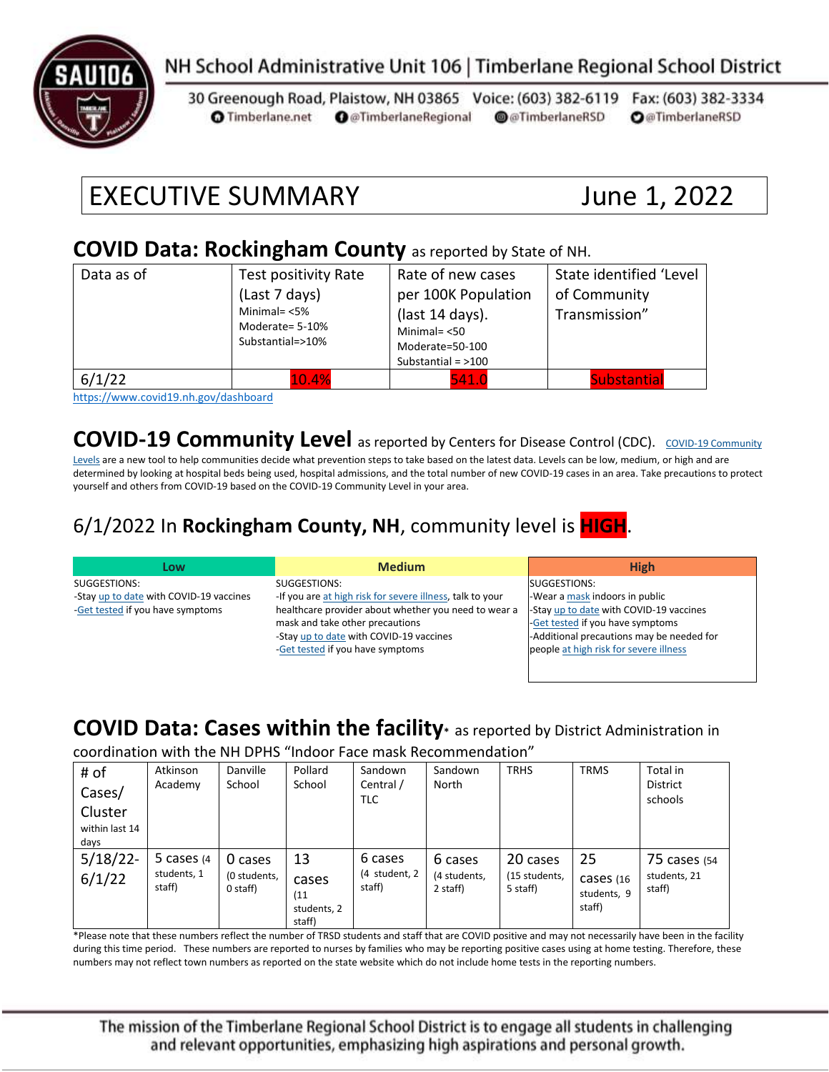

#### NH School Administrative Unit 106 | Timberlane Regional School District

30 Greenough Road, Plaistow, NH 03865 Voice: (603) 382-6119 Fax: (603) 382-3334 **O** @TimberlaneRegional @@TimberlaneRSD **O**@TimberlaneRSD **O** Timberlane.net

# EXECUTIVE SUMMARY June 1, 2022

#### **COVID Data: Rockingham County** as reported by State of NH.

| Data as of                                                               | Test positivity Rate<br>(Last 7 days)<br>Minimal= $<$ 5%<br>Moderate= 5-10%<br>Substantial=>10% | Rate of new cases<br>per 100K Population<br>(last 14 days).<br>Minimal $=$ <50<br>Moderate=50-100<br>Substantial = $>100$ | State identified 'Level<br>of Community<br>Transmission" |
|--------------------------------------------------------------------------|-------------------------------------------------------------------------------------------------|---------------------------------------------------------------------------------------------------------------------------|----------------------------------------------------------|
| 6/1/22<br>$\cdots$ $\cdots$<br>$\sim$ $\sim$ $\sim$ $\sim$ $\sim$ $\sim$ | 10.4%<br>.                                                                                      | 541.0                                                                                                                     | <b>Substantial</b>                                       |

<https://www.covid19.nh.gov/dashboard>

#### **[COVID-19 Community](https://www.cdc.gov/coronavirus/2019-ncov/science/community-levels.html) Level** as reported by Centers for Disease Control (CDC). COVID-19 Community

[Levels](https://www.cdc.gov/coronavirus/2019-ncov/science/community-levels.html) are a new tool to help communities decide what prevention steps to take based on the latest data. Levels can be low, medium, or high and are determined by looking at hospital beds being used, hospital admissions, and the total number of new COVID-19 cases in an area. Take precautions to protect yourself and others from COVID-19 based on the COVID-19 Community Level in your area.

#### 6/1/2022 In **Rockingham County, NH**, community level is **HIGH**.

| Low                                     | <b>Medium</b>                                             | <b>High</b>                               |
|-----------------------------------------|-----------------------------------------------------------|-------------------------------------------|
| SUGGESTIONS:                            | SUGGESTIONS:                                              | SUGGESTIONS:                              |
| -Stay up to date with COVID-19 vaccines | -If you are at high risk for severe illness, talk to your | -Wear a mask indoors in public            |
| -Get tested if you have symptoms        | healthcare provider about whether you need to wear a      | -Stay up to date with COVID-19 vaccines   |
|                                         | mask and take other precautions                           | -Get tested if you have symptoms          |
|                                         | -Stay up to date with COVID-19 vaccines                   | -Additional precautions may be needed for |
|                                         | -Get tested if you have symptoms                          | people at high risk for severe illness    |
|                                         |                                                           |                                           |

#### **COVID Data: Cases within the facility\*** as reported by District Administration in

coordination with the NH DPHS "Indoor Face mask Recommendation"

| # of<br>Cases/<br>Cluster<br>within last 14<br>days | Atkinson<br>Academy                    | Danville<br>School                  | Pollard<br>School                            | Sandown<br>Central /<br>TLC        | Sandown<br>North                    | <b>TRHS</b>                           | <b>TRMS</b>                                | Total in<br><b>District</b><br>schools |
|-----------------------------------------------------|----------------------------------------|-------------------------------------|----------------------------------------------|------------------------------------|-------------------------------------|---------------------------------------|--------------------------------------------|----------------------------------------|
| $5/18/22$ -<br>6/1/22                               | 5 cases $(4)$<br>students, 1<br>staff) | 0 cases<br>(0 students,<br>0 staff) | 13<br>cases<br>(11)<br>students, 2<br>staff) | 6 cases<br>(4 student, 2<br>staff) | 6 cases<br>(4 students,<br>2 staff) | 20 cases<br>(15 students,<br>5 staff) | 25<br>$cases$ (16<br>students, 9<br>staff) | 75 cases (54<br>students, 21<br>staff) |

\*Please note that these numbers reflect the number of TRSD students and staff that are COVID positive and may not necessarily have been in the facility during this time period. These numbers are reported to nurses by families who may be reporting positive cases using at home testing. Therefore, these numbers may not reflect town numbers as reported on the state website which do not include home tests in the reporting numbers.

The mission of the Timberlane Regional School District is to engage all students in challenging and relevant opportunities, emphasizing high aspirations and personal growth.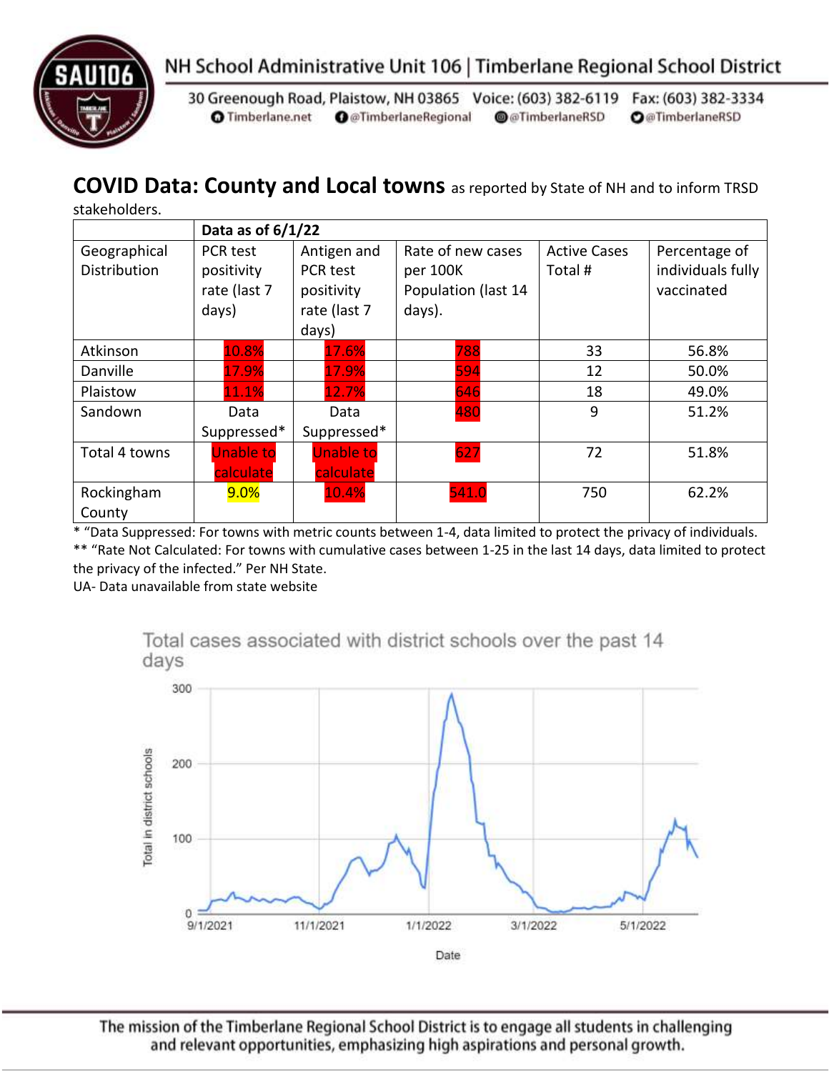



30 Greenough Road, Plaistow, NH 03865 Voice: (603) 382-6119 Fax: (603) 382-3334 **O** Timberlane.net **O** @TimberlaneRegional @@TimberlaneRSD **O**@TimberlaneRSD

#### **COVID Data: County and Local towns** as reported by State of NH and to inform TRSD

stakeholders.

|                              | Data as of $6/1/22$                             |                                                                |                                                                |                                |                                                  |  |
|------------------------------|-------------------------------------------------|----------------------------------------------------------------|----------------------------------------------------------------|--------------------------------|--------------------------------------------------|--|
| Geographical<br>Distribution | PCR test<br>positivity<br>rate (last 7<br>days) | Antigen and<br>PCR test<br>positivity<br>rate (last 7<br>days) | Rate of new cases<br>per 100K<br>Population (last 14<br>days). | <b>Active Cases</b><br>Total # | Percentage of<br>individuals fully<br>vaccinated |  |
| Atkinson                     | 10.8%                                           | 17.6%                                                          | 788                                                            | 33                             | 56.8%                                            |  |
| Danville                     | 17.9%                                           | 17.9%                                                          | 594                                                            | 12                             | 50.0%                                            |  |
| Plaistow                     | 11.1%                                           | 12.7%                                                          | 646                                                            | 18                             | 49.0%                                            |  |
| Sandown                      | Data<br>Suppressed*                             | Data<br>Suppressed*                                            | 480                                                            | 9                              | 51.2%                                            |  |
| Total 4 towns                | <b>Unable to</b><br>calculate                   | <b>Unable to</b><br>calculate                                  | 627                                                            | 72                             | 51.8%                                            |  |
| Rockingham<br>County         | 9.0%                                            | 10.4%                                                          | 541.0                                                          | 750                            | 62.2%                                            |  |

\* "Data Suppressed: For towns with metric counts between 1-4, data limited to protect the privacy of individuals. \*\* "Rate Not Calculated: For towns with cumulative cases between 1-25 in the last 14 days, data limited to protect the privacy of the infected." Per NH State.

UA- Data unavailable from state website



The mission of the Timberlane Regional School District is to engage all students in challenging and relevant opportunities, emphasizing high aspirations and personal growth.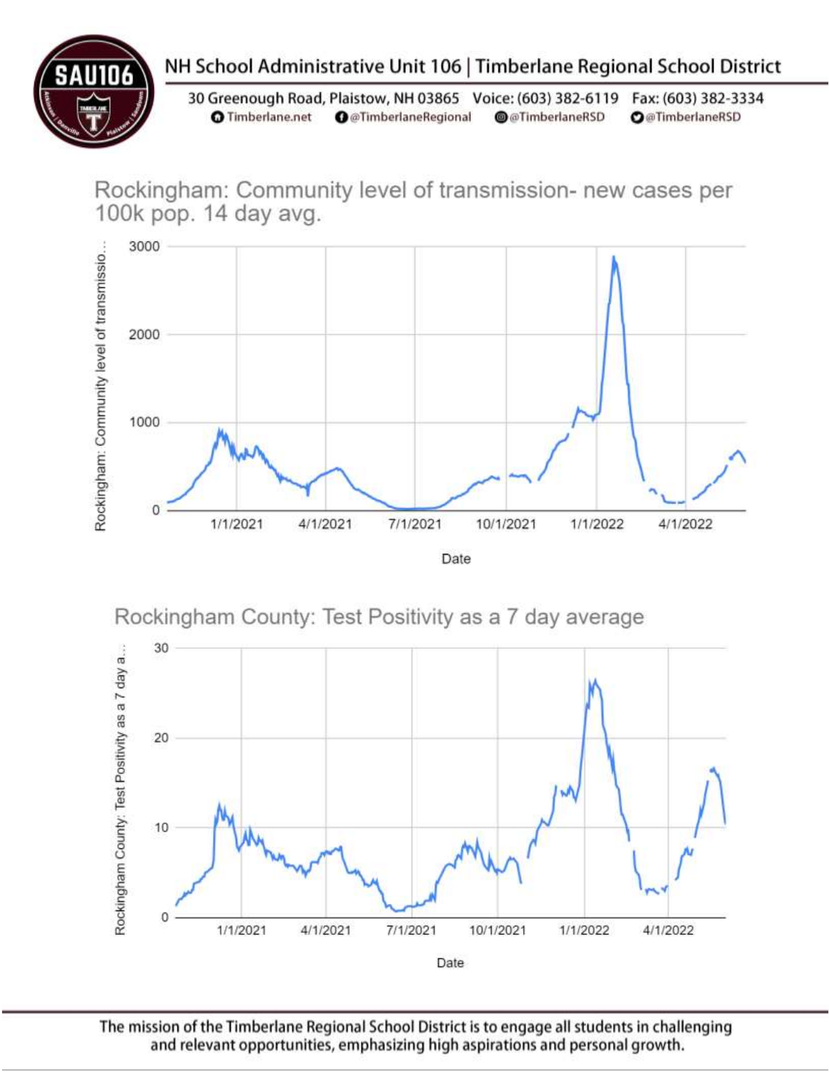

## NH School Administrative Unit 106 | Timberlane Regional School District

30 Greenough Road, Plaistow, NH 03865 Voice: (603) 382-6119 Fax: (603) 382-3334 **O** Timberlane.net **O** @TimberlaneRegional @@TimberlaneRSD **O**@TimberlaneRSD

Rockingham: Community level of transmission- new cases per 100k pop. 14 day avg.







The mission of the Timberlane Regional School District is to engage all students in challenging and relevant opportunities, emphasizing high aspirations and personal growth.